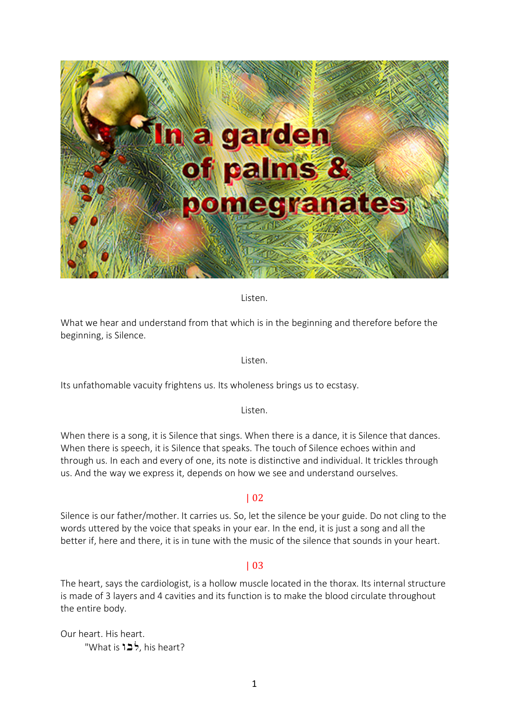

Listen.

What we hear and understand from that which is in the beginning and therefore before the beginning, is Silence.

Listen.

Its unfathomable vacuity frightens us. Its wholeness brings us to ecstasy.

Listen.

When there is a song, it is Silence that sings. When there is a dance, it is Silence that dances. When there is speech, it is Silence that speaks. The touch of Silence echoes within and through us. In each and every of one, its note is distinctive and individual. It trickles through us. And the way we express it, depends on how we see and understand ourselves.

## | 02

Silence is our father/mother. It carries us. So, let the silence be your guide. Do not cling to the words uttered by the voice that speaks in your ear. In the end, it is just a song and all the better if, here and there, it is in tune with the music of the silence that sounds in your heart.

## | 03

The heart, says the cardiologist, is a hollow muscle located in the thorax. Its internal structure is made of 3 layers and 4 cavities and its function is to make the blood circulate throughout the entire body.

Our heart. His heart. "What is  $12<sup>5</sup>$ , his heart?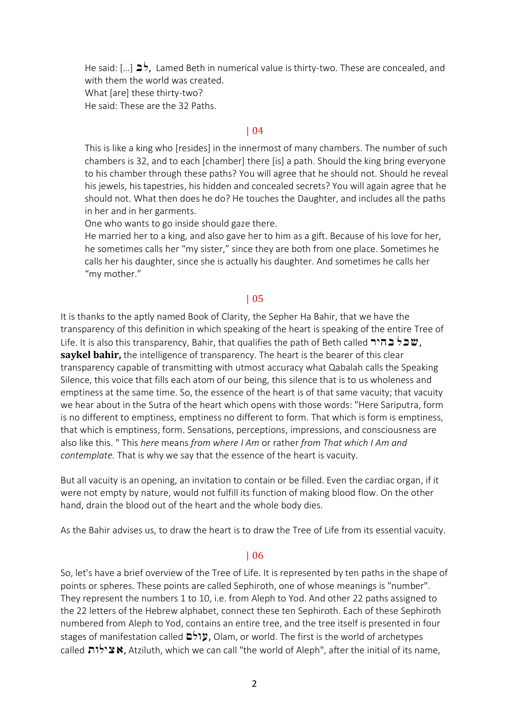He said:  $[...]$   $\Rightarrow$ , Lamed Beth in numerical value is thirty-two. These are concealed, and with them the world was created. What [are] these thirty-two? He said: These are the 32 Paths.

### | 04

This is like a king who [resides] in the innermost of many chambers. The number of such chambers is 32, and to each [chamber] there [is] a path. Should the king bring everyone to his chamber through these paths? You will agree that he should not. Should he reveal his jewels, his tapestries, his hidden and concealed secrets? You will again agree that he should not. What then does he do? He touches the Daughter, and includes all the paths in her and in her garments.

One who wants to go inside should gaze there.

He married her to a king, and also gave her to him as a gift. Because of his love for her, he sometimes calls her "my sister," since they are both from one place. Sometimes he calls her his daughter, since she is actually his daughter. And sometimes he calls her "my mother."

### | 05

It is thanks to the aptly named Book of Clarity, the Sepher Ha Bahir, that we have the transparency of this definition in which speaking of the heart is speaking of the entire Tree of Life. It is also this transparency, Bahir, that qualifies the path of Beth called **הלר בהיר**, Life, It **saykel bahir,** the intelligence of transparency. The heart is the bearer of this clear transparency capable of transmitting with utmost accuracy what Qabalah calls the Speaking Silence, this voice that fills each atom of our being, this silence that is to us wholeness and emptiness at the same time. So, the essence of the heart is of that same vacuity; that vacuity we hear about in the Sutra of the heart which opens with those words: "Here Sariputra, form is no different to emptiness, emptiness no different to form. That which is form is emptiness, that which is emptiness, form. Sensations, perceptions, impressions, and consciousness are also like this. " This *here* means *from where I Am* or rather *from That which I Am and contemplate.* That is why we say that the essence of the heart is vacuity.

But all vacuity is an opening, an invitation to contain or be filled. Even the cardiac organ, if it were not empty by nature, would not fulfill its function of making blood flow. On the other hand, drain the blood out of the heart and the whole body dies.

As the Bahir advises us, to draw the heart is to draw the Tree of Life from its essential vacuity.

#### | 06

So, let's have a brief overview of the Tree of Life. It is represented by ten paths in the shape of points or spheres. These points are called Sephiroth, one of whose meanings is "number". They represent the numbers 1 to 10, i.e. from Aleph to Yod. And other 22 paths assigned to the 22 letters of the Hebrew alphabet, connect these ten Sephiroth. Each of these Sephiroth numbered from Aleph to Yod, contains an entire tree, and the tree itself is presented in four stages of manifestation called  $\ddot{\mathbf{c}}$ : עולם, Olam, or world. The first is the world of archetypes called  $\mathbf{X}$ ילות  $\mathbf{x}$ , Atziluth, which we can call "the world of Aleph", after the initial of its name,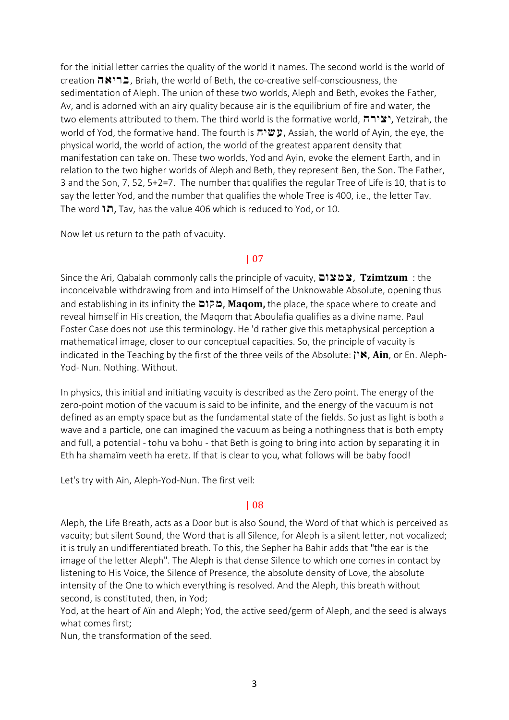for the initial letter carries the quality of the world it names. The second world is the world of creation הבריאה, Briah, the world of Beth, the co-creative self-consciousness, the sedimentation of Aleph. The union of these two worlds, Aleph and Beth, evokes the Father, Av, and is adorned with an airy quality because air is the equilibrium of fire and water, the two elements attributed to them. The third world is the formative world,  $n \rightarrow \infty$ , Yetzirah, the world of Yod, the formative hand. The fourth is  $\sharp \sharp$ , Assiah, the world of Ayin, the eye, the physical world, the world of action, the world of the greatest apparent density that manifestation can take on. These two worlds, Yod and Ayin, evoke the element Earth, and in relation to the two higher worlds of Aleph and Beth, they represent Ben, the Son. The Father, 3 and the Son, 7, 52, 5+2=7. The number that qualifies the regular Tree of Life is 10, that is to say the letter Yod, and the number that qualifies the whole Tree is 400, i.e., the letter Tav. The word **ה** $\mathbf{R}$ , Tav, has the value 406 which is reduced to Yod, or 10.

Now let us return to the path of vacuity.

## | 07

Since the Ari, Qabalah commonly calls the principle of vacuity, Mvymy, **Tzimtzum** : the inconceivable withdrawing from and into Himself of the Unknowable Absolute, opening thus and establishing in its infinity the **מקום**, Maqom, the place, the space where to create and reveal himself in His creation, the Maqom that Aboulafia qualifies as a divine name. Paul Foster Case does not use this terminology. He 'd rather give this metaphysical perception a mathematical image, closer to our conceptual capacities. So, the principle of vacuity is indicated in the Teaching by the first of the three veils of the Absolute: **"N: Ain**, or En. Aleph-Yod- Nun. Nothing. Without.

In physics, this initial and initiating vacuity is described as the Zero point. The energy of the zero-point motion of the vacuum is said to be infinite, and the energy of the vacuum is not defined as an empty space but as the fundamental state of the fields. So just as light is both a wave and a particle, one can imagined the vacuum as being a nothingness that is both empty and full, a potential - tohu va bohu - that Beth is going to bring into action by separating it in Eth ha shamaïm veeth ha eretz. If that is clear to you, what follows will be baby food!

Let's try with Ain, Aleph-Yod-Nun. The first veil:

## | 08

Aleph, the Life Breath, acts as a Door but is also Sound, the Word of that which is perceived as vacuity; but silent Sound, the Word that is all Silence, for Aleph is a silent letter, not vocalized; it is truly an undifferentiated breath. To this, the Sepher ha Bahir adds that "the ear is the image of the letter Aleph". The Aleph is that dense Silence to which one comes in contact by listening to His Voice, the Silence of Presence, the absolute density of Love, the absolute intensity of the One to which everything is resolved. And the Aleph, this breath without second, is constituted, then, in Yod;

Yod, at the heart of Aïn and Aleph; Yod, the active seed/germ of Aleph, and the seed is always what comes first;

Nun, the transformation of the seed.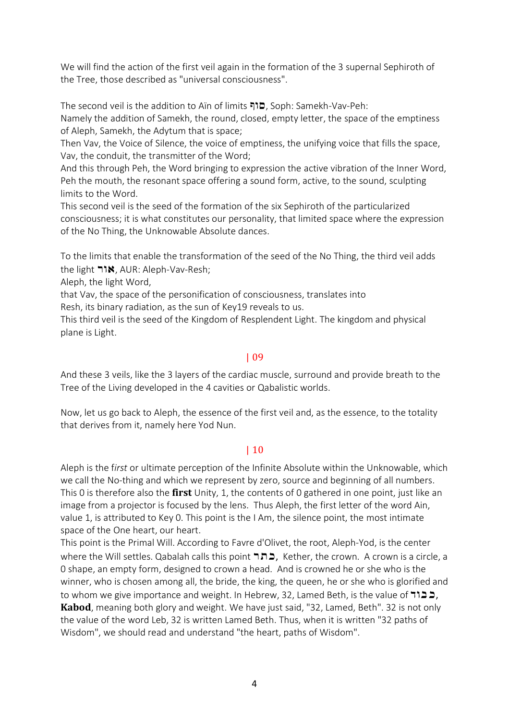We will find the action of the first veil again in the formation of the 3 supernal Sephiroth of the Tree, those described as "universal consciousness".

The second veil is the addition to Aïn of limits כוף, Soph: Samekh-Vav-Peh:

Namely the addition of Samekh, the round, closed, empty letter, the space of the emptiness of Aleph, Samekh, the Adytum that is space;

Then Vav, the Voice of Silence, the voice of emptiness, the unifying voice that fills the space, Vav, the conduit, the transmitter of the Word;

And this through Peh, the Word bringing to expression the active vibration of the Inner Word, Peh the mouth, the resonant space offering a sound form, active, to the sound, sculpting limits to the Word.

This second veil is the seed of the formation of the six Sephiroth of the particularized consciousness; it is what constitutes our personality, that limited space where the expression of the No Thing, the Unknowable Absolute dances.

To the limits that enable the transformation of the seed of the No Thing, the third veil adds the light  $\n \n \blacksquare \blacksquare \blacksquare$ , AUR: Aleph-Vav-Resh;

Aleph, the light Word,

that Vav, the space of the personification of consciousness, translates into

Resh, its binary radiation, as the sun of Key19 reveals to us.

This third veil is the seed of the Kingdom of Resplendent Light. The kingdom and physical plane is Light.

## | 09

And these 3 veils, like the 3 layers of the cardiac muscle, surround and provide breath to the Tree of the Living developed in the 4 cavities or Qabalistic worlds.

Now, let us go back to Aleph, the essence of the first veil and, as the essence, to the totality that derives from it, namely here Yod Nun.

# | 10

Aleph is the f*irst* or ultimate perception of the Infinite Absolute within the Unknowable, which we call the No-thing and which we represent by zero, source and beginning of all numbers. This 0 is therefore also the **first** Unity, 1, the contents of 0 gathered in one point, just like an image from a projector is focused by the lens. Thus Aleph, the first letter of the word Ain, value 1, is attributed to Key 0. This point is the I Am, the silence point, the most intimate space of the One heart, our heart.

This point is the Primal Will. According to Favre d'Olivet, the root, Aleph-Yod, is the center where the Will settles. Qabalah calls this point רבה, Kether, the crown. A crown is a circle, a 0 shape, an empty form, designed to crown a head. And is crowned he or she who is the winner, who is chosen among all, the bride, the king, the queen, he or she who is glorified and to whom we give importance and weight. In Hebrew, 32, Lamed Beth, is the value of  $\overline{a}$ ,  $\overline{b}$ , **Kabod**, meaning both glory and weight. We have just said, "32, Lamed, Beth". 32 is not only the value of the word Leb, 32 is written Lamed Beth. Thus, when it is written "32 paths of Wisdom", we should read and understand "the heart, paths of Wisdom".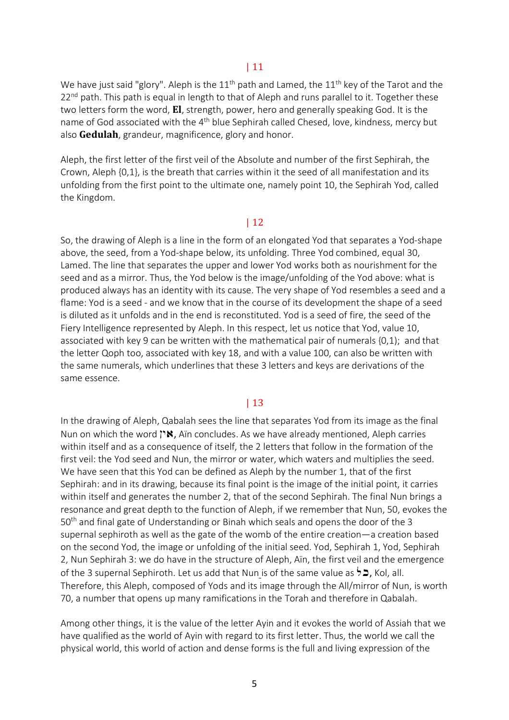We have just said "glory". Aleph is the  $11<sup>th</sup>$  path and Lamed, the  $11<sup>th</sup>$  key of the Tarot and the  $22<sup>nd</sup>$  path. This path is equal in length to that of Aleph and runs parallel to it. Together these two letters form the word, **El**, strength, power, hero and generally speaking God. It is the name of God associated with the 4<sup>th</sup> blue Sephirah called Chesed, love, kindness, mercy but also **Gedulah**, grandeur, magnificence, glory and honor.

Aleph, the first letter of the first veil of the Absolute and number of the first Sephirah, the Crown, Aleph {0,1}, is the breath that carries within it the seed of all manifestation and its unfolding from the first point to the ultimate one, namely point 10, the Sephirah Yod, called the Kingdom.

### | 12

So, the drawing of Aleph is a line in the form of an elongated Yod that separates a Yod-shape above, the seed, from a Yod-shape below, its unfolding. Three Yod combined, equal 30, Lamed. The line that separates the upper and lower Yod works both as nourishment for the seed and as a mirror. Thus, the Yod below is the image/unfolding of the Yod above: what is produced always has an identity with its cause. The very shape of Yod resembles a seed and a flame: Yod is a seed - and we know that in the course of its development the shape of a seed is diluted as it unfolds and in the end is reconstituted. Yod is a seed of fire, the seed of the Fiery Intelligence represented by Aleph. In this respect, let us notice that Yod, value 10, associated with key 9 can be written with the mathematical pair of numerals  $\{0,1\}$ ; and that the letter Qoph too, associated with key 18, and with a value 100, can also be written with the same numerals, which underlines that these 3 letters and keys are derivations of the same essence.

## | 13

In the drawing of Aleph, Qabalah sees the line that separates Yod from its image as the final Nun on which the word  $\mathbf{N}$ , Aïn concludes. As we have already mentioned, Aleph carries within itself and as a consequence of itself, the 2 letters that follow in the formation of the first veil: the Yod seed and Nun, the mirror or water, which waters and multiplies the seed. We have seen that this Yod can be defined as Aleph by the number 1, that of the first Sephirah: and in its drawing, because its final point is the image of the initial point, it carries within itself and generates the number 2, that of the second Sephirah. The final Nun brings a resonance and great depth to the function of Aleph, if we remember that Nun, 50, evokes the 50<sup>th</sup> and final gate of Understanding or Binah which seals and opens the door of the 3 supernal sephiroth as well as the gate of the womb of the entire creation—a creation based on the second Yod, the image or unfolding of the initial seed. Yod, Sephirah 1, Yod, Sephirah 2, Nun Sephirah 3: we do have in the structure of Aleph, Aïn, the first veil and the emergence of the 3 supernal Sephiroth. Let us add that Nun is of the same value as  $\sharp$ , Kol, all. Therefore, this Aleph, composed of Yods and its image through the All/mirror of Nun, is worth 70, a number that opens up many ramifications in the Torah and therefore in Qabalah.

Among other things, it is the value of the letter Ayin and it evokes the world of Assiah that we have qualified as the world of Ayin with regard to its first letter. Thus, the world we call the physical world, this world of action and dense forms is the full and living expression of the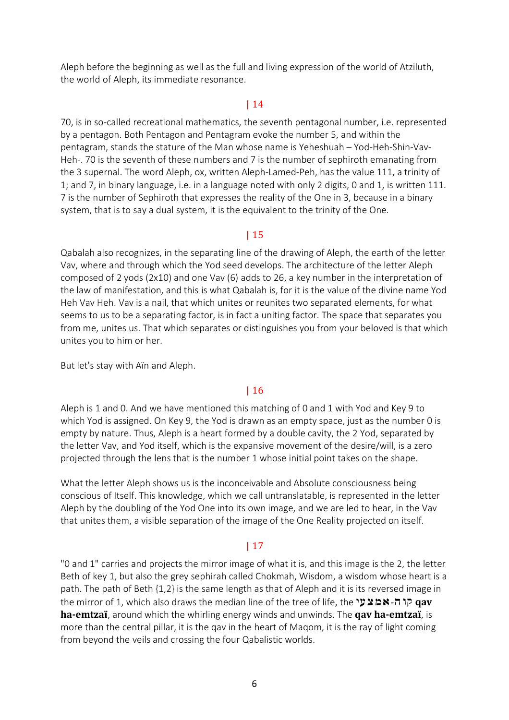Aleph before the beginning as well as the full and living expression of the world of Atziluth, the world of Aleph, its immediate resonance.

## | 14

70, is in so-called recreational mathematics, the seventh pentagonal number, i.e. represented by a pentagon. Both Pentagon and Pentagram evoke the number 5, and within the pentagram, stands the stature of the Man whose name is Yeheshuah – Yod-Heh-Shin-Vav-Heh-. 70 is the seventh of these numbers and 7 is the number of sephiroth emanating from the 3 supernal. The word Aleph, ox, written Aleph-Lamed-Peh, has the value 111, a trinity of 1; and 7, in binary language, i.e. in a language noted with only 2 digits, 0 and 1, is written 111. 7 is the number of Sephiroth that expresses the reality of the One in 3, because in a binary system, that is to say a dual system, it is the equivalent to the trinity of the One.

## | 15

Qabalah also recognizes, in the separating line of the drawing of Aleph, the earth of the letter Vav, where and through which the Yod seed develops. The architecture of the letter Aleph composed of 2 yods (2x10) and one Vav (6) adds to 26, a key number in the interpretation of the law of manifestation, and this is what Qabalah is, for it is the value of the divine name Yod Heh Vav Heh. Vav is a nail, that which unites or reunites two separated elements, for what seems to us to be a separating factor, is in fact a uniting factor. The space that separates you from me, unites us. That which separates or distinguishes you from your beloved is that which unites you to him or her.

But let's stay with Aïn and Aleph.

## | 16

Aleph is 1 and 0. And we have mentioned this matching of 0 and 1 with Yod and Key 9 to which Yod is assigned. On Key 9, the Yod is drawn as an empty space, just as the number 0 is empty by nature. Thus, Aleph is a heart formed by a double cavity, the 2 Yod, separated by the letter Vav, and Yod itself, which is the expansive movement of the desire/will, is a zero projected through the lens that is the number 1 whose initial point takes on the shape.

What the letter Aleph shows us is the inconceivable and Absolute consciousness being conscious of Itself. This knowledge, which we call untranslatable, is represented in the letter Aleph by the doubling of the Yod One into its own image, and we are led to hear, in the Vav that unites them, a visible separation of the image of the One Reality projected on itself.

## | 17

"0 and 1" carries and projects the mirror image of what it is, and this image is the 2, the letter Beth of key 1, but also the grey sephirah called Chokmah, Wisdom, a wisdom whose heart is a path. The path of Beth {1,2} is the same length as that of Aleph and it is its reversed image in the mirror of 1, which also draws the median line of the tree of life, the **"אמצעי che nirror** of 1, which also draws the median line of the tree of life, the **ha-emtzaï**, around which the whirling energy winds and unwinds. The **qav ha-emtzaï**, is more than the central pillar, it is the qav in the heart of Maqom, it is the ray of light coming from beyond the veils and crossing the four Qabalistic worlds.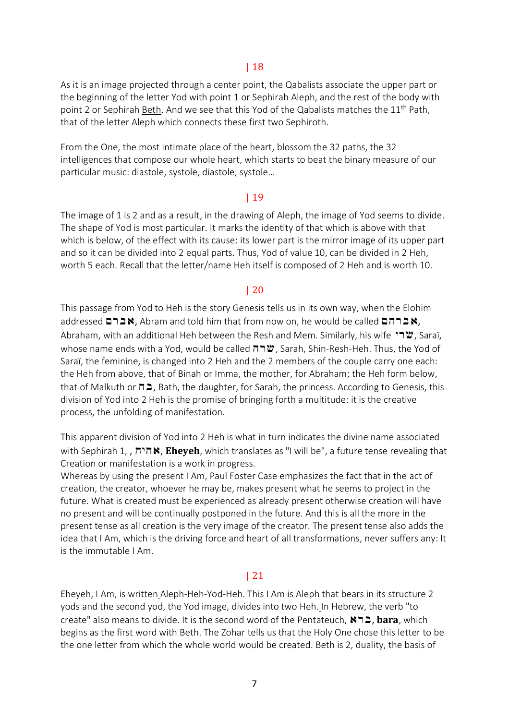## | 18

As it is an image projected through a center point, the Qabalists associate the upper part or the beginning of the letter Yod with point 1 or Sephirah Aleph, and the rest of the body with point 2 or Sephirah Beth. And we see that this Yod of the Qabalists matches the  $11^{th}$  Path, that of the letter Aleph which connects these first two Sephiroth.

From the One, the most intimate place of the heart, blossom the 32 paths, the 32 intelligences that compose our whole heart, which starts to beat the binary measure of our particular music: diastole, systole, diastole, systole…

### | 19

The image of 1 is 2 and as a result, in the drawing of Aleph, the image of Yod seems to divide. The shape of Yod is most particular. It marks the identity of that which is above with that which is below, of the effect with its cause: its lower part is the mirror image of its upper part and so it can be divided into 2 equal parts. Thus, Yod of value 10, can be divided in 2 Heh, worth 5 each. Recall that the letter/name Heh itself is composed of 2 Heh and is worth 10.

### | 20

This passage from Yod to Heh is the story Genesis tells us in its own way, when the Elohim addressed  $A \subseteq R$ , Abram and told him that from now on, he would be called  $A \cap A$ , Abraham, with an additional Heh between the Resh and Mem. Similarly, his wife  $\mathbf{m}$ , Saraï, whose name ends with a Yod, would be called  $\pi \pi w$ , Sarah, Shin-Resh-Heh. Thus, the Yod of Saraï, the feminine, is changed into 2 Heh and the 2 members of the couple carry one each: the Heh from above, that of Binah or Imma, the mother, for Abraham; the Heh form below, that of Malkuth or  $\Pi$ , Bath, the daughter, for Sarah, the princess. According to Genesis, this division of Yod into 2 Heh is the promise of bringing forth a multitude: it is the creative process, the unfolding of manifestation.

This apparent division of Yod into 2 Heh is what in turn indicates the divine name associated with Sephirah 1, , **ה'הא, Eheyeh**, which translates as "I will be", a future tense revealing that Creation or manifestation is a work in progress.

Whereas by using the present I Am, Paul Foster Case emphasizes the fact that in the act of creation, the creator, whoever he may be, makes present what he seems to project in the future. What is created must be experienced as already present otherwise creation will have no present and will be continually postponed in the future. And this is all the more in the present tense as all creation is the very image of the creator. The present tense also adds the idea that I Am, which is the driving force and heart of all transformations, never suffers any: It is the immutable I Am.

## | 21

Eheyeh, I Am, is written Aleph-Heh-Yod-Heh. This I Am is Aleph that bears in its structure 2 yods and the second yod, the Yod image, divides into two Heh. In Hebrew, the verb "to create" also means to divide. It is the second word of the Pentateuch, **A נבאל, bara**, which begins as the first word with Beth. The Zohar tells us that the Holy One chose this letter to be the one letter from which the whole world would be created. Beth is 2, duality, the basis of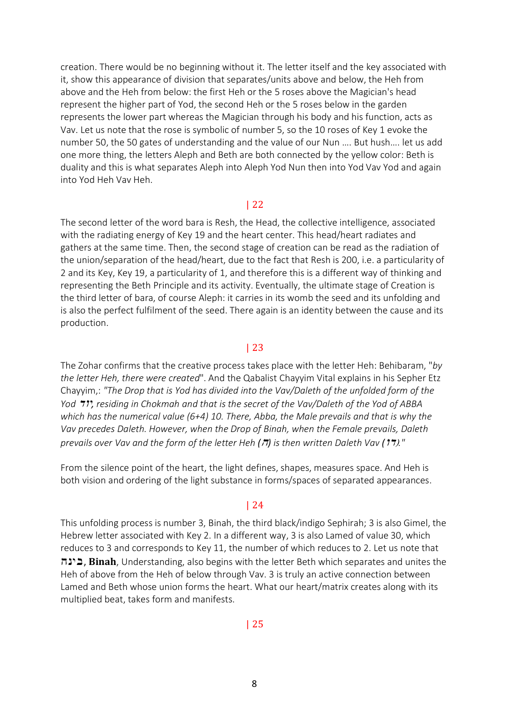creation. There would be no beginning without it. The letter itself and the key associated with it, show this appearance of division that separates/units above and below, the Heh from above and the Heh from below: the first Heh or the 5 roses above the Magician's head represent the higher part of Yod, the second Heh or the 5 roses below in the garden represents the lower part whereas the Magician through his body and his function, acts as Vav. Let us note that the rose is symbolic of number 5, so the 10 roses of Key 1 evoke the number 50, the 50 gates of understanding and the value of our Nun …. But hush…. let us add one more thing, the letters Aleph and Beth are both connected by the yellow color: Beth is duality and this is what separates Aleph into Aleph Yod Nun then into Yod Vav Yod and again into Yod Heh Vav Heh.

#### | 22

The second letter of the word bara is Resh, the Head, the collective intelligence, associated with the radiating energy of Key 19 and the heart center. This head/heart radiates and gathers at the same time. Then, the second stage of creation can be read as the radiation of the union/separation of the head/heart, due to the fact that Resh is 200, i.e. a particularity of 2 and its Key, Key 19, a particularity of 1, and therefore this is a different way of thinking and representing the Beth Principle and its activity. Eventually, the ultimate stage of Creation is the third letter of bara, of course Aleph: it carries in its womb the seed and its unfolding and is also the perfect fulfilment of the seed. There again is an identity between the cause and its production.

#### | 23

The Zohar confirms that the creative process takes place with the letter Heh: Behibaram, "*by the letter Heh, there were created*". And the Qabalist Chayyim Vital explains in his Sepher Etz Chayyim,: *"The Drop that is Yod has divided into the Vav/Daleth of the unfolded form of the Yod* dvi*, residing in Chokmah and that is the secret of the Vav/Daleth of the Yod of ABBA which has the numerical value (6+4) 10. There, Abba, the Male prevails and that is why the Vav precedes Daleth. However, when the Drop of Binah, when the Female prevails, Daleth prevails over Vav and the form of the letter Heh* ( $\pi$ ) *is then written Daleth Vav* ( $\pi$ )*."* 

From the silence point of the heart, the light defines, shapes, measures space. And Heh is both vision and ordering of the light substance in forms/spaces of separated appearances.

#### | 24

This unfolding process is number 3, Binah, the third black/indigo Sephirah; 3 is also Gimel, the Hebrew letter associated with Key 2. In a different way, 3 is also Lamed of value 30, which reduces to 3 and corresponds to Key 11, the number of which reduces to 2. Let us note that hnib, **Binah**, Understanding, also begins with the letter Beth which separates and unites the Heh of above from the Heh of below through Vav. 3 is truly an active connection between Lamed and Beth whose union forms the heart. What our heart/matrix creates along with its multiplied beat, takes form and manifests.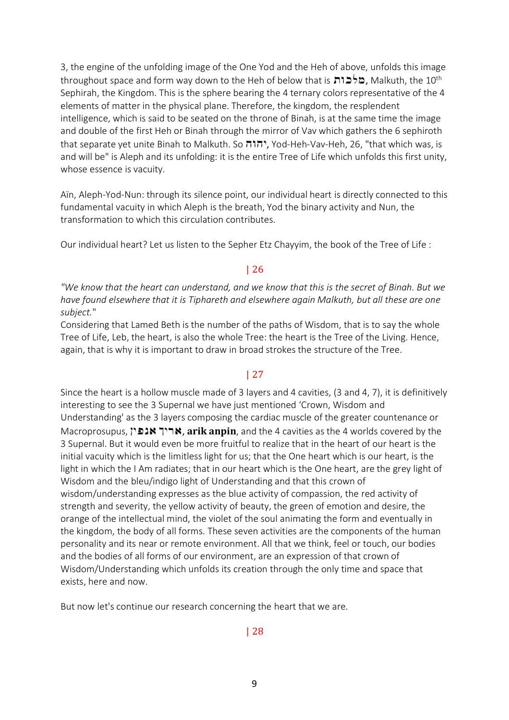3, the engine of the unfolding image of the One Yod and the Heh of above, unfolds this image throughout space and form way down to the Heh of below that is מלכות, Malkuth, the 10<sup>th</sup> Sephirah, the Kingdom. This is the sphere bearing the 4 ternary colors representative of the 4 elements of matter in the physical plane. Therefore, the kingdom, the resplendent intelligence, which is said to be seated on the throne of Binah, is at the same time the image and double of the first Heh or Binah through the mirror of Vav which gathers the 6 sephiroth that separate yet unite Binah to Malkuth. So יהוה, Yod-Heh-Vav-Heh, 26, "that which was, is and will be" is Aleph and its unfolding: it is the entire Tree of Life which unfolds this first unity, whose essence is vacuity.

Aïn, Aleph-Yod-Nun: through its silence point, our individual heart is directly connected to this fundamental vacuity in which Aleph is the breath, Yod the binary activity and Nun, the transformation to which this circulation contributes.

Our individual heart? Let us listen to the Sepher Etz Chayyim, the book of the Tree of Life :

## | 26

"We know that the heart can understand, and we know that this is the secret of Binah. But we *have found elsewhere that it is Tiphareth and elsewhere again Malkuth, but all these are one subject.*"

Considering that Lamed Beth is the number of the paths of Wisdom, that is to say the whole Tree of Life, Leb, the heart, is also the whole Tree: the heart is the Tree of the Living. Hence, again, that is why it is important to draw in broad strokes the structure of the Tree.

## | 27

Since the heart is a hollow muscle made of 3 layers and 4 cavities, (3 and 4, 7), it is definitively interesting to see the 3 Supernal we have just mentioned 'Crown, Wisdom and Understanding' as the 3 layers composing the cardiac muscle of the greater countenance or Macroprosupus, Nipna Kira, **arik anpin**, and the 4 cavities as the 4 worlds covered by the 3 Supernal. But it would even be more fruitful to realize that in the heart of our heart is the initial vacuity which is the limitless light for us; that the One heart which is our heart, is the light in which the I Am radiates; that in our heart which is the One heart, are the grey light of Wisdom and the bleu/indigo light of Understanding and that this crown of wisdom/understanding expresses as the blue activity of compassion, the red activity of strength and severity, the yellow activity of beauty, the green of emotion and desire, the orange of the intellectual mind, the violet of the soul animating the form and eventually in the kingdom, the body of all forms. These seven activities are the components of the human personality and its near or remote environment. All that we think, feel or touch, our bodies and the bodies of all forms of our environment, are an expression of that crown of Wisdom/Understanding which unfolds its creation through the only time and space that exists, here and now.

But now let's continue our research concerning the heart that we are.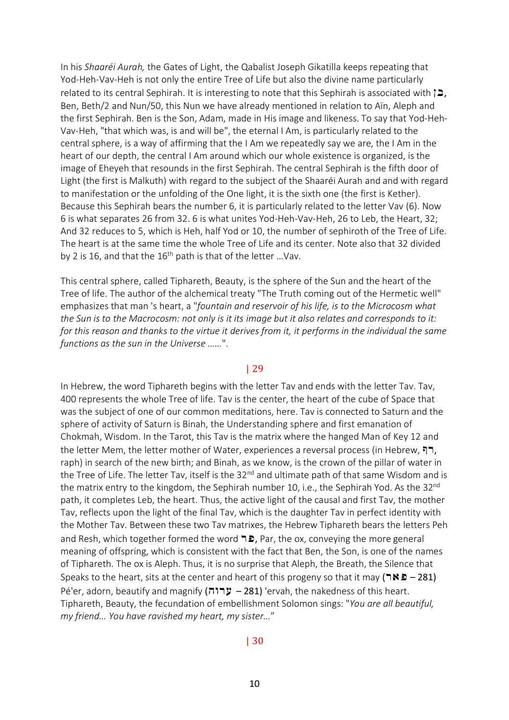In his *Shaaréi Aurah,* the Gates of Light, the Qabalist Joseph Gikatilla keeps repeating that Yod-Heh-Vav-Heh is not only the entire Tree of Life but also the divine name particularly related to its central Sephirah. It is interesting to note that this Sephirah is associated with  $\geq$ , Ben, Beth/2 and Nun/50, this Nun we have already mentioned in relation to Aïn, Aleph and the first Sephirah. Ben is the Son, Adam, made in His image and likeness. To say that Yod-Heh-Vav-Heh, "that which was, is and will be", the eternal I Am, is particularly related to the central sphere, is a way of affirming that the I Am we repeatedly say we are, the I Am in the heart of our depth, the central I Am around which our whole existence is organized, is the image of Eheyeh that resounds in the first Sephirah. The central Sephirah is the fifth door of Light (the first is Malkuth) with regard to the subject of the Shaaréi Aurah and and with regard to manifestation or the unfolding of the One light, it is the sixth one (the first is Kether). Because this Sephirah bears the number 6, it is particularly related to the letter Vav (6). Now 6 is what separates 26 from 32. 6 is what unites Yod-Heh-Vav-Heh, 26 to Leb, the Heart, 32; And 32 reduces to 5, which is Heh, half Yod or 10, the number of sephiroth of the Tree of Life. The heart is at the same time the whole Tree of Life and its center. Note also that 32 divided by 2 is 16, and that the  $16<sup>th</sup>$  path is that of the letter ... Vav.

This central sphere, called Tiphareth, Beauty, is the sphere of the Sun and the heart of the Tree of life. The author of the alchemical treaty "The Truth coming out of the Hermetic well" emphasizes that man 's heart, a "*fountain and reservoir of his life, is to the Microcosm what* the Sun is to the Macrocosm: not only is it its image but it also relates and corresponds to it: for this reason and thanks to the virtue it derives from it, it performs in the individual the same *functions as the sun in the Universe ……*".

#### | 29

In Hebrew, the word Tiphareth begins with the letter Tav and ends with the letter Tav. Tav, 400 represents the whole Tree of life. Tav is the center, the heart of the cube of Space that was the subject of one of our common meditations, here. Tav is connected to Saturn and the sphere of activity of Saturn is Binah, the Understanding sphere and first emanation of Chokmah, Wisdom. In the Tarot, this Tav is the matrix where the hanged Man of Key 12 and the letter Mem, the letter mother of Water, experiences a reversal process (in Hebrew, "ח, raph) in search of the new birth; and Binah, as we know, is the crown of the pillar of water in the Tree of Life. The letter Tav, itself is the 32<sup>nd</sup> and ultimate path of that same Wisdom and is the matrix entry to the kingdom, the Sephirah number 10, i.e., the Sephirah Yod. As the 32<sup>nd</sup> path, it completes Leb, the heart. Thus, the active light of the causal and first Tav, the mother Tav, reflects upon the light of the final Tav, which is the daughter Tav in perfect identity with the Mother Tav. Between these two Tav matrixes, the Hebrew Tiphareth bears the letters Peh and Resh, which together formed the word  $\blacksquare$ , Par, the ox, conveying the more general meaning of offspring, which is consistent with the fact that Ben, the Son, is one of the names of Tiphareth. The ox is Aleph. Thus, it is no surprise that Aleph, the Breath, the Silence that Speaks to the heart, sits at the center and heart of this progeny so that it may ( $\neg$   $\blacktriangleright$   $\blacktriangle$  – 281) Pé'er, adorn, beautify and magnify (281) 'ervah, the nakedness of this heart. Tiphareth, Beauty, the fecundation of embellishment Solomon sings: "*You are all beautiful, my friend… You have ravished my heart, my sister…*"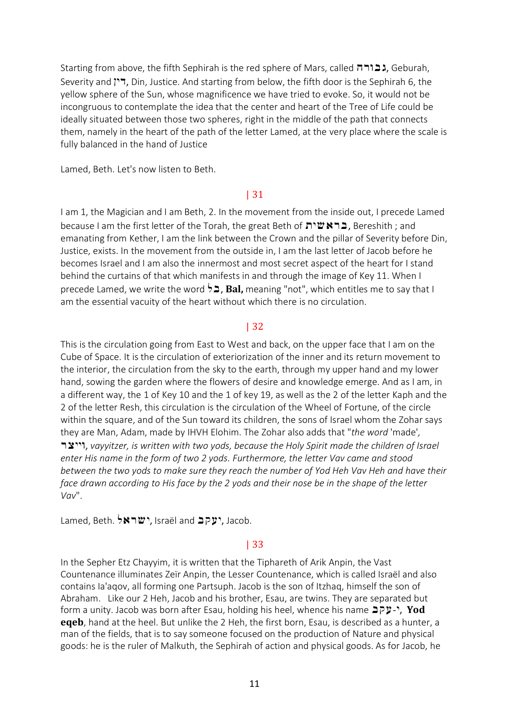Starting from above, the fifth Sephirah is the red sphere of Mars, called הבורה, Geburah, Severity and  $\overline{P}$ , Din, Justice. And starting from below, the fifth door is the Sephirah 6, the yellow sphere of the Sun, whose magnificence we have tried to evoke. So, it would not be incongruous to contemplate the idea that the center and heart of the Tree of Life could be ideally situated between those two spheres, right in the middle of the path that connects them, namely in the heart of the path of the letter Lamed, at the very place where the scale is fully balanced in the hand of Justice

Lamed, Beth. Let's now listen to Beth.

### | 31

I am 1, the Magician and I am Beth, 2. In the movement from the inside out, I precede Lamed because I am the first letter of the Torah, the great Beth of שות Because I am the first letter of the Torah, the great Beth of  $\mathbf{S}$ emanating from Kether, I am the link between the Crown and the pillar of Severity before Din, Justice, exists. In the movement from the outside in, I am the last letter of Jacob before he becomes Israel and I am also the innermost and most secret aspect of the heart for I stand behind the curtains of that which manifests in and through the image of Key 11. When I precede Lamed, we write the word  $\overleftrightarrow{=}$ , **Bal,** meaning "not", which entitles me to say that I am the essential vacuity of the heart without which there is no circulation.

## | 32

This is the circulation going from East to West and back, on the upper face that I am on the Cube of Space. It is the circulation of exteriorization of the inner and its return movement to the interior, the circulation from the sky to the earth, through my upper hand and my lower hand, sowing the garden where the flowers of desire and knowledge emerge. And as I am, in a different way, the 1 of Key 10 and the 1 of key 19, as well as the 2 of the letter Kaph and the 2 of the letter Resh, this circulation is the circulation of the Wheel of Fortune, of the circle within the square, and of the Sun toward its children, the sons of Israel whom the Zohar says they are Man, Adam, made by IHVH Elohim. The Zohar also adds that "*the word* 'made'*,* ryiiv, *vayyitzer, is written with two yods, because the Holy Spirit made the children of Israel enter His name in the form of two 2 yods. Furthermore, the letter Vav came and stood between the two yods to make sure they reach the number of Yod Heh Vav Heh and have their* face drawn according to His face by the 2 yods and their nose be in the shape of the letter *Vav*".

Lamed, Beth. 5NJW, Israël and **JPY**, Jacob.

## | 33

In the Sepher Etz Chayyim, it is written that the Tiphareth of Arik Anpin, the Vast Countenance illuminates Zeïr Anpin, the Lesser Countenance, which is called Israël and also contains Ia'aqov, all forming one Partsuph. Jacob is the son of Itzhaq, himself the son of Abraham. Like our 2 Heh, Jacob and his brother, Esau, are twins. They are separated but form a unity. Jacob was born after Esau, holding his heel, whence his name  $\exists p\cdot\cdot$ , **Yod eqeb**, hand at the heel. But unlike the 2 Heh, the first born, Esau, is described as a hunter, a man of the fields, that is to say someone focused on the production of Nature and physical goods: he is the ruler of Malkuth, the Sephirah of action and physical goods. As for Jacob, he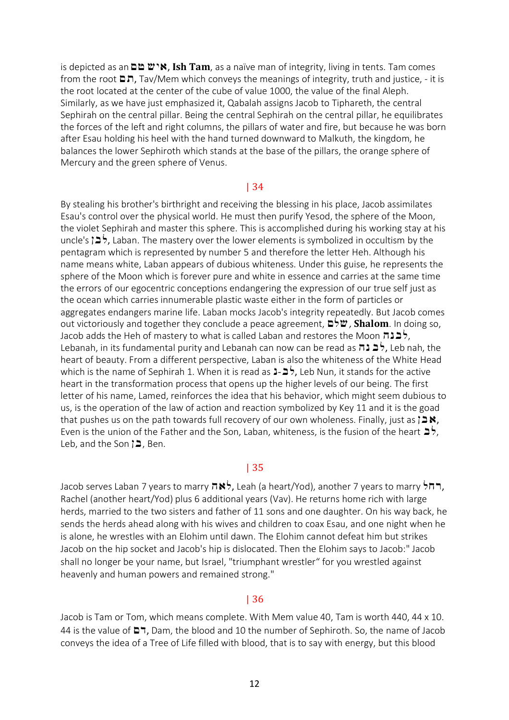is depicted as anMt wia, **Ish Tam**, as a naïve man of integrity, living in tents. Tam comes from the root  $\Box \Box$ , Tav/Mem which conveys the meanings of integrity, truth and justice, - it is the root located at the center of the cube of value 1000, the value of the final Aleph. Similarly, as we have just emphasized it, Qabalah assigns Jacob to Tiphareth, the central Sephirah on the central pillar. Being the central Sephirah on the central pillar, he equilibrates the forces of the left and right columns, the pillars of water and fire, but because he was born after Esau holding his heel with the hand turned downward to Malkuth, the kingdom, he balances the lower Sephiroth which stands at the base of the pillars, the orange sphere of Mercury and the green sphere of Venus.

#### | 34

By stealing his brother's birthright and receiving the blessing in his place, Jacob assimilates Esau's control over the physical world. He must then purify Yesod, the sphere of the Moon, the violet Sephirah and master this sphere. This is accomplished during his working stay at his uncle's  $\geq$ , Laban. The mastery over the lower elements is symbolized in occultism by the pentagram which is represented by number 5 and therefore the letter Heh. Although his name means white, Laban appears of dubious whiteness. Under this guise, he represents the sphere of the Moon which is forever pure and white in essence and carries at the same time the errors of our egocentric conceptions endangering the expression of our true self just as the ocean which carries innumerable plastic waste either in the form of particles or aggregates endangers marine life. Laban mocks Jacob's integrity repeatedly. But Jacob comes out victoriously and together they conclude a peace agreement,  $\mathbf{D}^{\mathsf{t}}\mathbf{W}$ , **Shalom**. In doing so, Jacob adds the Heh of mastery to what is called Laban and restores the Moon  $\pi$ לבנה, Lebanah, in its fundamental purity and Lebanah can now can be read as לבנה, Leb nah, the heart of beauty. From a different perspective, Laban is also the whiteness of the White Head which is the name of Sephirah 1. When it is read as  $\frac{1}{2}$ , Leb Nun, it stands for the active heart in the transformation process that opens up the higher levels of our being. The first letter of his name, Lamed, reinforces the idea that his behavior, which might seem dubious to us, is the operation of the law of action and reaction symbolized by Key 11 and it is the goad that pushes us on the path towards full recovery of our own wholeness. Finally, just as  $\mathbf{a} \in \mathbb{R}$ , Even is the union of the Father and the Son, Laban, whiteness, is the fusion of the heart  $\Rightarrow$ , Leb, and the Son  $\geq$ , Ben.

### | 35

Jacob serves Laban 7 years to marry hall, Leah (a heart/Yod), another 7 years to marry  $\frac{1}{2} \pi$ , Rachel (another heart/Yod) plus 6 additional years (Vav). He returns home rich with large herds, married to the two sisters and father of 11 sons and one daughter. On his way back, he sends the herds ahead along with his wives and children to coax Esau, and one night when he is alone, he wrestles with an Elohim until dawn. The Elohim cannot defeat him but strikes Jacob on the hip socket and Jacob's hip is dislocated. Then the Elohim says to Jacob:" Jacob shall no longer be your name, but Israel, "triumphant wrestler" for you wrestled against heavenly and human powers and remained strong."

#### | 36

Jacob is Tam or Tom, which means complete. With Mem value 40, Tam is worth 440, 44 x 10. 44 is the value of  $\Box$ , Dam, the blood and 10 the number of Sephiroth. So, the name of Jacob conveys the idea of a Tree of Life filled with blood, that is to say with energy, but this blood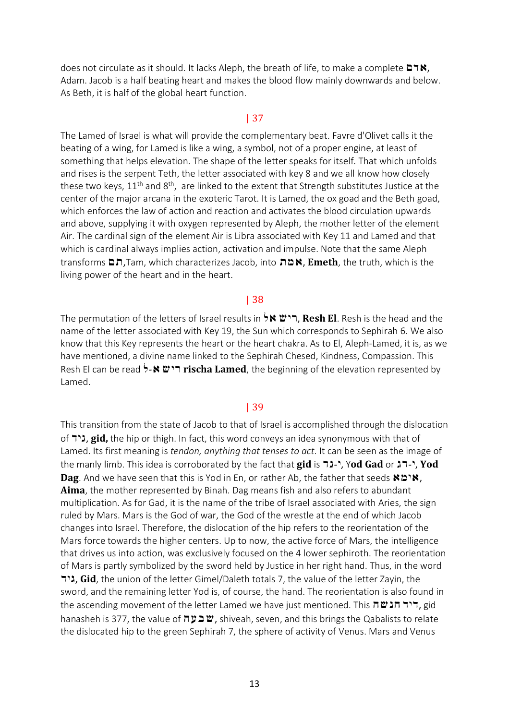does not circulate as it should. It lacks Aleph, the breath of life, to make a complete  $\Box \forall x$ , Adam. Jacob is a half beating heart and makes the blood flow mainly downwards and below. As Beth, it is half of the global heart function.

#### | 37

The Lamed of Israel is what will provide the complementary beat. Favre d'Olivet calls it the beating of a wing, for Lamed is like a wing, a symbol, not of a proper engine, at least of something that helps elevation. The shape of the letter speaks for itself. That which unfolds and rises is the serpent Teth, the letter associated with key 8 and we all know how closely these two keys,  $11<sup>th</sup>$  and  $8<sup>th</sup>$ , are linked to the extent that Strength substitutes Justice at the center of the major arcana in the exoteric Tarot. It is Lamed, the ox goad and the Beth goad, which enforces the law of action and reaction and activates the blood circulation upwards and above, supplying it with oxygen represented by Aleph, the mother letter of the element Air. The cardinal sign of the element Air is Libra associated with Key 11 and Lamed and that which is cardinal always implies action, activation and impulse. Note that the same Aleph transforms Mx,Tam, which characterizes Jacob, into xma, **Emeth**, the truth, which is the living power of the heart and in the heart.

#### | 38

The permutation of the letters of Israel results in la wir, **Resh El**. Resh is the head and the name of the letter associated with Key 19, the Sun which corresponds to Sephirah 6. We also know that this Key represents the heart or the heart chakra. As to El, Aleph-Lamed, it is, as we have mentioned, a divine name linked to the Sephirah Chesed, Kindness, Compassion. This Resh El can be read **5-N "ז rischa Lamed**, the beginning of the elevation represented by Lamed.

#### | 39

This transition from the state of Jacob to that of Israel is accomplished through the dislocation of **ה', gid,** the hip or thigh. In fact, this word conveys an idea synonymous with that of Lamed. Its first meaning is *tendon, anything that tenses to act.* It can be seen as the image of the manly limb. This idea is corroborated by the fact that **gid** is <sup>-1</sup>, Yod Gad or <sup>2</sup>, Yod Cad or 2, Yod **Dag**. And we have seen that this is Yod in En, or rather Ab, the father that seeds **ND'N**, **Aima**, the mother represented by Binah. Dag means fish and also refers to abundant multiplication. As for Gad, it is the name of the tribe of Israel associated with Aries, the sign ruled by Mars. Mars is the God of war, the God of the wrestle at the end of which Jacob changes into Israel. Therefore, the dislocation of the hip refers to the reorientation of the Mars force towards the higher centers. Up to now, the active force of Mars, the intelligence that drives us into action, was exclusively focused on the 4 lower sephiroth. The reorientation of Mars is partly symbolized by the sword held by Justice in her right hand. Thus, in the word **ליד, Gid**, the union of the letter Gimel/Daleth totals 7, the value of the letter Zayin, the sword, and the remaining letter Yod is, of course, the hand. The reorientation is also found in the ascending movement of the letter Lamed we have just mentioned. This  $\pi \mathbf{u}$ ה, gid hanasheh is 377, the value of שבעה, shiveah, seven, and this brings the Qabalists to relate the dislocated hip to the green Sephirah 7, the sphere of activity of Venus. Mars and Venus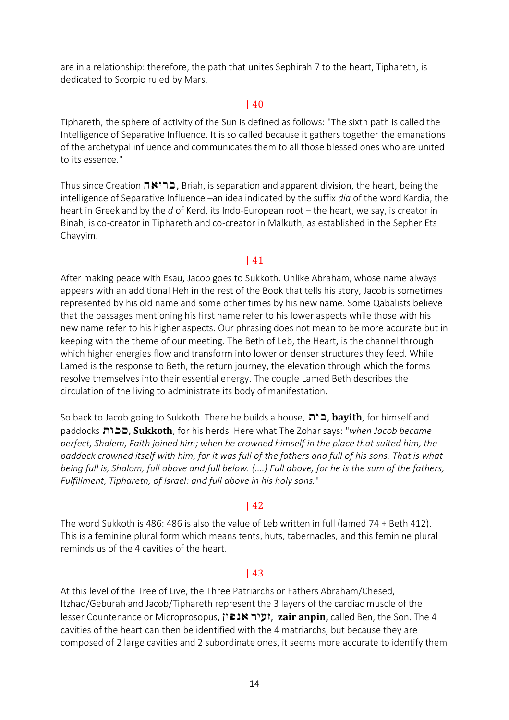are in a relationship: therefore, the path that unites Sephirah 7 to the heart, Tiphareth, is dedicated to Scorpio ruled by Mars.

## | 40

Tiphareth, the sphere of activity of the Sun is defined as follows: "The sixth path is called the Intelligence of Separative Influence. It is so called because it gathers together the emanations of the archetypal influence and communicates them to all those blessed ones who are united to its essence."

Thus since Creation **הבריאה**, Briah, is separation and apparent division, the heart, being the intelligence of Separative Influence –an idea indicated by the suffix *dia* of the word Kardia, the heart in Greek and by the *d* of Kerd, its Indo-European root – the heart, we say, is creator in Binah, is co-creator in Tiphareth and co-creator in Malkuth, as established in the Sepher Ets Chayyim.

# | 41

After making peace with Esau, Jacob goes to Sukkoth. Unlike Abraham, whose name always appears with an additional Heh in the rest of the Book that tells his story, Jacob is sometimes represented by his old name and some other times by his new name. Some Qabalists believe that the passages mentioning his first name refer to his lower aspects while those with his new name refer to his higher aspects. Our phrasing does not mean to be more accurate but in keeping with the theme of our meeting. The Beth of Leb, the Heart, is the channel through which higher energies flow and transform into lower or denser structures they feed. While Lamed is the response to Beth, the return journey, the elevation through which the forms resolve themselves into their essential energy. The couple Lamed Beth describes the circulation of the living to administrate its body of manifestation.

So back to Jacob going to Sukkoth. There he builds a house, xib, **bayith**, for himself and paddocks xvks, **Sukkoth**, for his herds. Here what The Zohar says: "*when Jacob became perfect, Shalem, Faith joined him; when he crowned himself in the place that suited him, the* paddock crowned itself with him, for it was full of the fathers and full of his sons. That is what being full is, Shalom, full above and full below. (....) Full above, for he is the sum of the fathers, *Fulfillment, Tiphareth, of Israel: and full above in his holy sons.*"

## | 42

The word Sukkoth is 486: 486 is also the value of Leb written in full (lamed 74 + Beth 412). This is a feminine plural form which means tents, huts, tabernacles, and this feminine plural reminds us of the 4 cavities of the heart.

# | 43

At this level of the Tree of Live, the Three Patriarchs or Fathers Abraham/Chesed, Itzhaq/Geburah and Jacob/Tiphareth represent the 3 layers of the cardiac muscle of the lesser Countenance or Microprosopus, **ועיר אנפ**ין, zair anpin, called Ben, the Son. The 4 cavities of the heart can then be identified with the 4 matriarchs, but because they are composed of 2 large cavities and 2 subordinate ones, it seems more accurate to identify them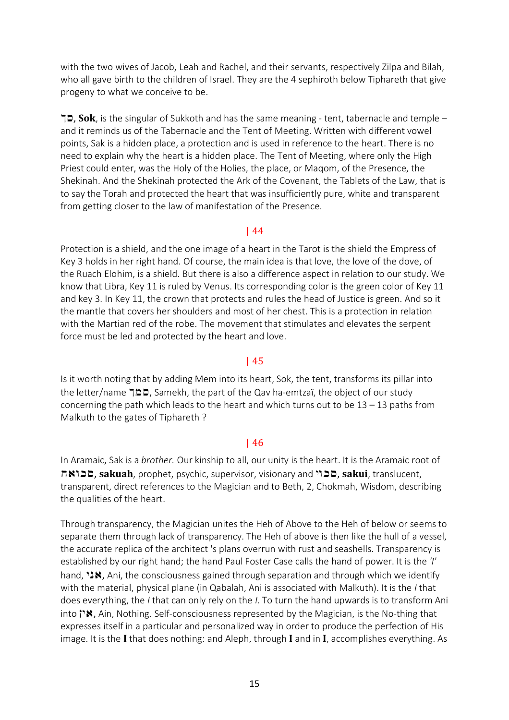with the two wives of Jacob, Leah and Rachel, and their servants, respectively Zilpa and Bilah, who all gave birth to the children of Israel. They are the 4 sephiroth below Tiphareth that give progeny to what we conceive to be.

Ks, **Sok**, is the singular of Sukkoth and has the same meaning - tent, tabernacle and temple – and it reminds us of the Tabernacle and the Tent of Meeting. Written with different vowel points, Sak is a hidden place, a protection and is used in reference to the heart. There is no need to explain why the heart is a hidden place. The Tent of Meeting, where only the High Priest could enter, was the Holy of the Holies, the place, or Maqom, of the Presence, the Shekinah. And the Shekinah protected the Ark of the Covenant, the Tablets of the Law, that is to say the Torah and protected the heart that was insufficiently pure, white and transparent from getting closer to the law of manifestation of the Presence.

### | 44

Protection is a shield, and the one image of a heart in the Tarot is the shield the Empress of Key 3 holds in her right hand. Of course, the main idea is that love, the love of the dove, of the Ruach Elohim, is a shield. But there is also a difference aspect in relation to our study. We know that Libra, Key 11 is ruled by Venus. Its corresponding color is the green color of Key 11 and key 3. In Key 11, the crown that protects and rules the head of Justice is green. And so it the mantle that covers her shoulders and most of her chest. This is a protection in relation with the Martian red of the robe. The movement that stimulates and elevates the serpent force must be led and protected by the heart and love.

## | 45

Is it worth noting that by adding Mem into its heart, Sok, the tent, transforms its pillar into the letter/name  $\Box$   $\Box$ , Samekh, the part of the Qav ha-emtzaï, the object of our study concerning the path which leads to the heart and which turns out to be  $13 - 13$  paths from Malkuth to the gates of Tiphareth ?

## | 46

In Aramaic, Sak is a *brother.* Our kinship to all, our unity is the heart. It is the Aramaic root of havks, **sakuah**, prophet, psychic, supervisor, visionary and ivks, **sakui**, translucent, transparent, direct references to the Magician and to Beth, 2, Chokmah, Wisdom, describing the qualities of the heart.

Through transparency, the Magician unites the Heh of Above to the Heh of below or seems to separate them through lack of transparency. The Heh of above is then like the hull of a vessel, the accurate replica of the architect 's plans overrun with rust and seashells. Transparency is established by our right hand; the hand Paul Foster Case calls the hand of power. It is the *'I'* hand,  $i$ , Ani, the consciousness gained through separation and through which we identify with the material, physical plane (in Qabalah, Ani is associated with Malkuth). It is the *I* that does everything, the *I* that can only rely on the *I*. To turn the hand upwards is to transform Ani into  $\gamma$ . Ain, Nothing. Self-consciousness represented by the Magician, is the No-thing that expresses itself in a particular and personalized way in order to produce the perfection of His image. It is the **I** that does nothing: and Aleph, through **I** and in **I**, accomplishes everything. As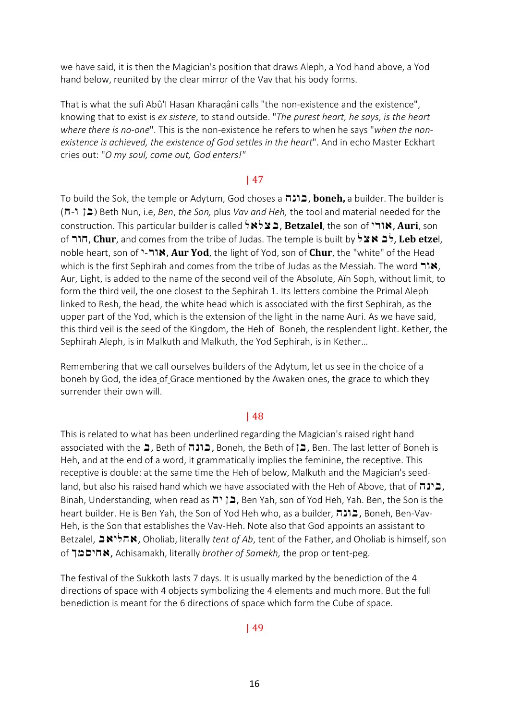we have said, it is then the Magician's position that draws Aleph, a Yod hand above, a Yod hand below, reunited by the clear mirror of the Vav that his body forms.

That is what the sufi Abû'I Hasan Kharaqâni calls "the non-existence and the existence", knowing that to exist is *ex sistere*, to stand outside. "*The purest heart, he says, is the heart where there is no-one*". This is the non-existence he refers to when he says "*when the nonexistence is achieved, the existence of God settles in the heart*". And in echo Master Eckhart cries out: "*O my soul, come out, God enters!"*

### | 47

To build the Sok, the temple or Adytum, God choses a **Lingth,** a builder. The builder is (h-v Nb) Beth Nun, i.e, *Ben*, *the Son,* plus *Vav and Heh,* the tool and material needed for the construction. This particular builder is called **XX ב**צלאל, **Betzalel**, the son of **Auri**, son of rvc, **Chur**, and comes from the tribe of Judas. The temple is built by lya bl, **Leb etze**l, noble heart, son of "-**אור**-"**Aur Yod**, the light of Yod, son of **Chur**, the "white" of the Head which is the first Sephirah and comes from the tribe of Judas as the Messiah. The word  $\mathbf{N}$ , Aur, Light, is added to the name of the second veil of the Absolute, Aïn Soph, without limit, to form the third veil, the one closest to the Sephirah 1. Its letters combine the Primal Aleph linked to Resh, the head, the white head which is associated with the first Sephirah, as the upper part of the Yod, which is the extension of the light in the name Auri. As we have said, this third veil is the seed of the Kingdom, the Heh of Boneh, the resplendent light. Kether, the Sephirah Aleph, is in Malkuth and Malkuth, the Yod Sephirah, is in Kether…

Remembering that we call ourselves builders of the Adytum, let us see in the choice of a boneh by God, the idea of Grace mentioned by the Awaken ones, the grace to which they surrender their own will.

### | 48

This is related to what has been underlined regarding the Magician's raised right hand associated with the **ב**ן Beth of הונה, Boneh, the Beth of p וכה, Ben. The last letter of Boneh is Heh, and at the end of a word, it grammatically implies the feminine, the receptive. This receptive is double: at the same time the Heh of below, Malkuth and the Magician's seedland, but also his raised hand which we have associated with the Heh of Above, that of  $\pi$ ה), Binah, Understanding, when read as בן יה, Ben Yah, son of Yod Heh, Yah. Ben, the Son is the heart builder. He is Ben Yah, the Son of Yod Heh who, as a builder, בונה, Boneh, Ben-Vav-Heh, is the Son that establishes the Vav-Heh. Note also that God appoints an assistant to Betzalel, bailha, Oholiab, literally *tent of Ab*, tent of the Father, and Oholiab is himself, son of Kmsica, Achisamakh, literally *brother of Samekh,* the prop or tent-peg.

The festival of the Sukkoth lasts 7 days. It is usually marked by the benediction of the 4 directions of space with 4 objects symbolizing the 4 elements and much more. But the full benediction is meant for the 6 directions of space which form the Cube of space.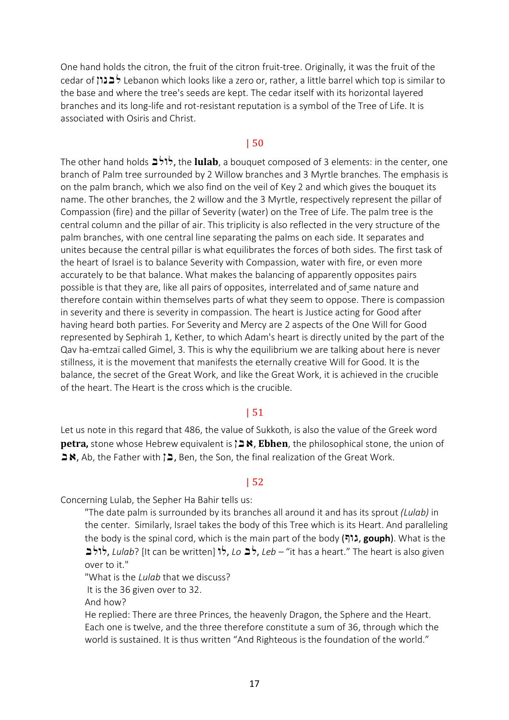One hand holds the citron, the fruit of the citron fruit-tree. Originally, it was the fruit of the cedar of לבנון Lebanon which looks like a zero or, rather, a little barrel which top is similar to the base and where the tree's seeds are kept. The cedar itself with its horizontal layered branches and its long-life and rot-resistant reputation is a symbol of the Tree of Life. It is associated with Osiris and Christ.

#### | 50

The other hand holds blvl, the **lulab**, a bouquet composed of 3 elements: in the center, one branch of Palm tree surrounded by 2 Willow branches and 3 Myrtle branches. The emphasis is on the palm branch, which we also find on the veil of Key 2 and which gives the bouquet its name. The other branches, the 2 willow and the 3 Myrtle, respectively represent the pillar of Compassion (fire) and the pillar of Severity (water) on the Tree of Life. The palm tree is the central column and the pillar of air. This triplicity is also reflected in the very structure of the palm branches, with one central line separating the palms on each side. It separates and unites because the central pillar is what equilibrates the forces of both sides. The first task of the heart of Israel is to balance Severity with Compassion, water with fire, or even more accurately to be that balance. What makes the balancing of apparently opposites pairs possible is that they are, like all pairs of opposites, interrelated and of same nature and therefore contain within themselves parts of what they seem to oppose. There is compassion in severity and there is severity in compassion. The heart is Justice acting for Good after having heard both parties. For Severity and Mercy are 2 aspects of the One Will for Good represented by Sephirah 1, Kether, to which Adam's heart is directly united by the part of the Qav ha-emtzaï called Gimel, 3. This is why the equilibrium we are talking about here is never stillness, it is the movement that manifests the eternally creative Will for Good. It is the balance, the secret of the Great Work, and like the Great Work, it is achieved in the crucible of the heart. The Heart is the cross which is the crucible.

### | 51

Let us note in this regard that 486, the value of Sukkoth, is also the value of the Greek word **petra,** stone whose Hebrew equivalent is  $\lambda \geq \kappa$ , **Ebhen**, the philosophical stone, the union of  $\blacktriangleright$ Ab, the Father with  $\blacktriangleright$ , Ben, the Son, the final realization of the Great Work.

#### | 52

Concerning Lulab, the Sepher Ha Bahir tells us:

"The date palm is surrounded by its branches all around it and has its sprout *(Lulab)* in the center. Similarly, Israel takes the body of this Tree which is its Heart. And paralleling the body is the spinal cord, which is the main part of the body (בורא, gouph). What is the  $b$  (*I* fit can be written) לולב, *Leb* – "it has a heart." The heart is also given over to it."

"What is the *Lulab* that we discuss?

It is the 36 given over to 32.

And how?

He replied: There are three Princes, the heavenly Dragon, the Sphere and the Heart. Each one is twelve, and the three therefore constitute a sum of 36, through which the world is sustained. It is thus written "And Righteous is the foundation of the world."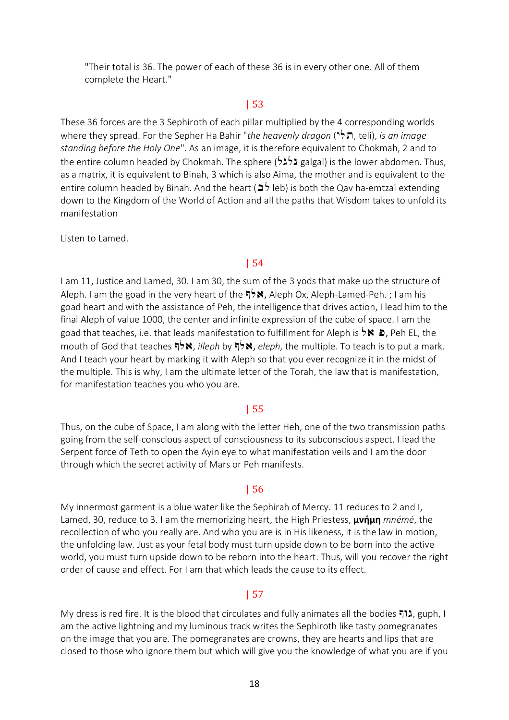"Their total is 36. The power of each of these 36 is in every other one. All of them complete the Heart."

## | 53

These 36 forces are the 3 Sephiroth of each pillar multiplied by the 4 corresponding worlds where they spread. For the Sepher Ha Bahir "*the heavenly dragon* (<sup> $\star$ </sup>, teli), *is an image standing before the Holy One*". As an image, it is therefore equivalent to Chokmah, 2 and to the entire column headed by Chokmah. The sphere (לגל galgal) is the lower abdomen. Thus, as a matrix, it is equivalent to Binah, 3 which is also Aima, the mother and is equivalent to the entire column headed by Binah. And the heart ( $\blacktriangleright$  leb) is both the Qav ha-emtzaï extending down to the Kingdom of the World of Action and all the paths that Wisdom takes to unfold its manifestation

Listen to Lamed.

#### | 54

I am 11, Justice and Lamed, 30. I am 30, the sum of the 3 yods that make up the structure of Aleph. I am the goad in the very heart of the  $\overrightarrow{P}$ , Aleph Ox, Aleph-Lamed-Peh. ; I am his goad heart and with the assistance of Peh, the intelligence that drives action, I lead him to the final Aleph of value 1000, the center and infinite expression of the cube of space. I am the goad that teaches, i.e. that leads manifestation to fulfillment for Aleph is  $\overleftrightarrow{\phantom{a}}$ , Peh EL, the mouth of God that teaches **Pick,** *illeph* by **Price,** *eleph***, the multiple. To teach is to put a mark.** And I teach your heart by marking it with Aleph so that you ever recognize it in the midst of the multiple. This is why, I am the ultimate letter of the Torah, the law that is manifestation, for manifestation teaches you who you are.

### | 55

Thus, on the cube of Space, I am along with the letter Heh, one of the two transmission paths going from the self-conscious aspect of consciousness to its subconscious aspect. I lead the Serpent force of Teth to open the Ayin eye to what manifestation veils and I am the door through which the secret activity of Mars or Peh manifests.

#### | 56

My innermost garment is a blue water like the Sephirah of Mercy. 11 reduces to 2 and I, Lamed, 30, reduce to 3. I am the memorizing heart, the High Priestess, **μνήμη** *mnémé*, the recollection of who you really are. And who you are is in His likeness, it is the law in motion, the unfolding law. Just as your fetal body must turn upside down to be born into the active world, you must turn upside down to be reborn into the heart. Thus, will you recover the right order of cause and effect. For I am that which leads the cause to its effect.

### | 57

My dress is red fire. It is the blood that circulates and fully animates all the bodies הגוף guph, I am the active lightning and my luminous track writes the Sephiroth like tasty pomegranates on the image that you are. The pomegranates are crowns, they are hearts and lips that are closed to those who ignore them but which will give you the knowledge of what you are if you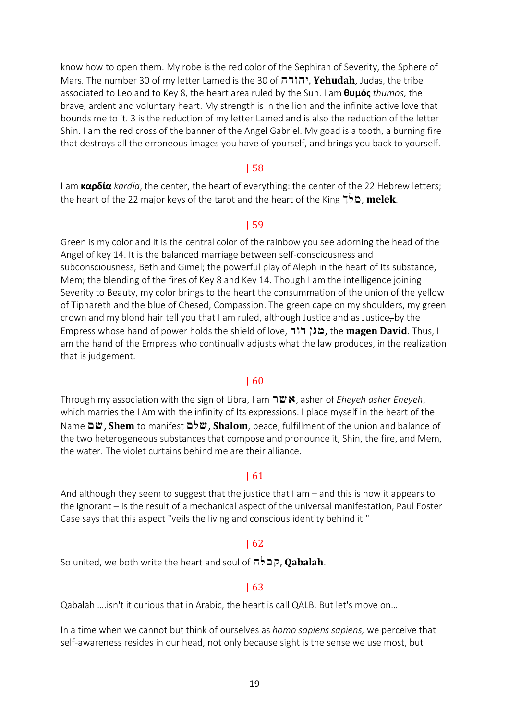know how to open them. My robe is the red color of the Sephirah of Severity, the Sphere of Mars. The number 30 of my letter Lamed is the 30 of יהודה, Yehudah, Judas, the tribe associated to Leo and to Key 8, the heart area ruled by the Sun. I am **θυμός** *thumos*, the brave, ardent and voluntary heart. My strength is in the lion and the infinite active love that bounds me to it. 3 is the reduction of my letter Lamed and is also the reduction of the letter Shin. I am the red cross of the banner of the Angel Gabriel. My goad is a tooth, a burning fire that destroys all the erroneous images you have of yourself, and brings you back to yourself.

#### | 58

I am **καρδία** *kardia*, the center, the heart of everything: the center of the 22 Hebrew letters; the heart of the 22 major keys of the tarot and the heart of the King **לך** melek.

#### | 59

Green is my color and it is the central color of the rainbow you see adorning the head of the Angel of key 14. It is the balanced marriage between self-consciousness and subconsciousness, Beth and Gimel; the powerful play of Aleph in the heart of Its substance, Mem; the blending of the fires of Key 8 and Key 14. Though I am the intelligence joining Severity to Beauty, my color brings to the heart the consummation of the union of the yellow of Tiphareth and the blue of Chesed, Compassion. The green cape on my shoulders, my green crown and my blond hair tell you that I am ruled, although Justice and as Justice, by the Empress whose hand of power holds the shield of love, dvd Ngm, the **magen David**. Thus, I am the hand of the Empress who continually adjusts what the law produces, in the realization that is judgement.

### | 60

Through my association with the sign of Libra, I am rwa, asher of *Eheyeh asher Eheyeh*, which marries the I Am with the infinity of Its expressions. I place myself in the heart of the Name **□** as **Shem** to manifest **□**<sup>b</sup> as **Shalom**, peace, fulfillment of the union and balance of the two heterogeneous substances that compose and pronounce it, Shin, the fire, and Mem, the water. The violet curtains behind me are their alliance.

### | 61

And although they seem to suggest that the justice that I am – and this is how it appears to the ignorant – is the result of a mechanical aspect of the universal manifestation, Paul Foster Case says that this aspect "veils the living and conscious identity behind it."

### | 62

So united, we both write the heart and soul of  $\pi$ לל, Qabalah.

#### | 63

Qabalah ….isn't it curious that in Arabic, the heart is call QALB. But let's move on…

In a time when we cannot but think of ourselves as *homo sapiens sapiens,* we perceive that self-awareness resides in our head, not only because sight is the sense we use most, but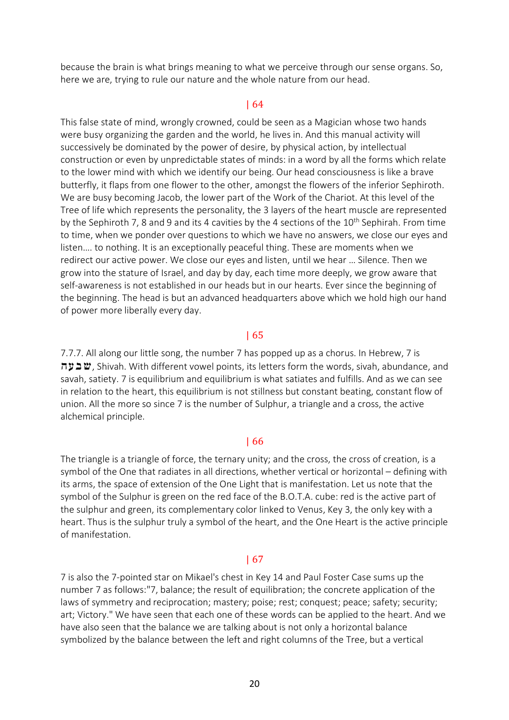because the brain is what brings meaning to what we perceive through our sense organs. So, here we are, trying to rule our nature and the whole nature from our head.

### | 64

This false state of mind, wrongly crowned, could be seen as a Magician whose two hands were busy organizing the garden and the world, he lives in. And this manual activity will successively be dominated by the power of desire, by physical action, by intellectual construction or even by unpredictable states of minds: in a word by all the forms which relate to the lower mind with which we identify our being. Our head consciousness is like a brave butterfly, it flaps from one flower to the other, amongst the flowers of the inferior Sephiroth. We are busy becoming Jacob, the lower part of the Work of the Chariot. At this level of the Tree of life which represents the personality, the 3 layers of the heart muscle are represented by the Sephiroth 7, 8 and 9 and its 4 cavities by the 4 sections of the  $10^{th}$  Sephirah. From time to time, when we ponder over questions to which we have no answers, we close our eyes and listen…. to nothing. It is an exceptionally peaceful thing. These are moments when we redirect our active power. We close our eyes and listen, until we hear … Silence. Then we grow into the stature of Israel, and day by day, each time more deeply, we grow aware that self-awareness is not established in our heads but in our hearts. Ever since the beginning of the beginning. The head is but an advanced headquarters above which we hold high our hand of power more liberally every day.

#### | 65

7.7.7. All along our little song, the number 7 has popped up as a chorus. In Hebrew, 7 is **שבעה**), Shivah. With different vowel points, its letters form the words, sivah, abundance, and savah, satiety. 7 is equilibrium and equilibrium is what satiates and fulfills. And as we can see in relation to the heart, this equilibrium is not stillness but constant beating, constant flow of union. All the more so since 7 is the number of Sulphur, a triangle and a cross, the active alchemical principle.

#### | 66

The triangle is a triangle of force, the ternary unity; and the cross, the cross of creation, is a symbol of the One that radiates in all directions, whether vertical or horizontal – defining with its arms, the space of extension of the One Light that is manifestation. Let us note that the symbol of the Sulphur is green on the red face of the B.O.T.A. cube: red is the active part of the sulphur and green, its complementary color linked to Venus, Key 3, the only key with a heart. Thus is the sulphur truly a symbol of the heart, and the One Heart is the active principle of manifestation.

#### | 67

7 is also the 7-pointed star on Mikael's chest in Key 14 and Paul Foster Case sums up the number 7 as follows:"7, balance; the result of equilibration; the concrete application of the laws of symmetry and reciprocation; mastery; poise; rest; conquest; peace; safety; security; art; Victory." We have seen that each one of these words can be applied to the heart. And we have also seen that the balance we are talking about is not only a horizontal balance symbolized by the balance between the left and right columns of the Tree, but a vertical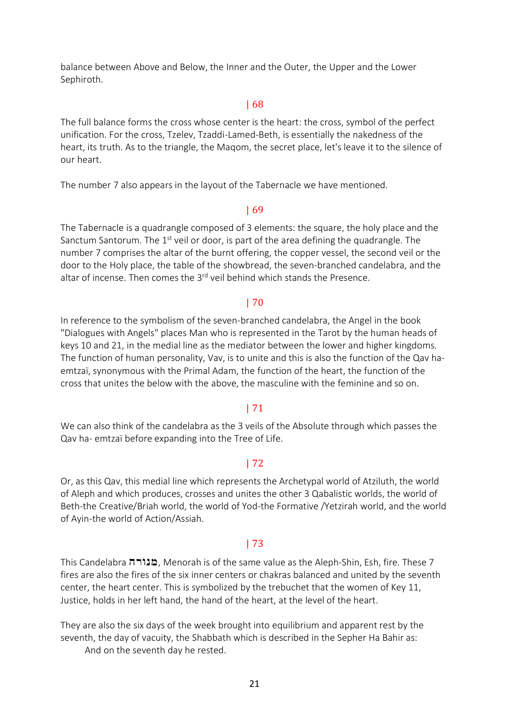balance between Above and Below, the Inner and the Outer, the Upper and the Lower Sephiroth.

#### | 68

The full balance forms the cross whose center is the heart: the cross, symbol of the perfect unification. For the cross, Tzelev, Tzaddi-Lamed-Beth, is essentially the nakedness of the heart, its truth. As to the triangle, the Maqom, the secret place, let's leave it to the silence of our heart.

The number 7 also appears in the layout of the Tabernacle we have mentioned.

#### | 69

The Tabernacle is a quadrangle composed of 3 elements: the square, the holy place and the Sanctum Santorum. The  $1<sup>st</sup>$  veil or door, is part of the area defining the quadrangle. The number 7 comprises the altar of the burnt offering, the copper vessel, the second veil or the door to the Holy place, the table of the showbread, the seven-branched candelabra, and the altar of incense. Then comes the 3<sup>rd</sup> veil behind which stands the Presence.

#### | 70

In reference to the symbolism of the seven-branched candelabra, the Angel in the book "Dialogues with Angels" places Man who is represented in the Tarot by the human heads of keys 10 and 21, in the medial line as the mediator between the lower and higher kingdoms. The function of human personality, Vav, is to unite and this is also the function of the Qav haemtzaï, synonymous with the Primal Adam, the function of the heart, the function of the cross that unites the below with the above, the masculine with the feminine and so on.

#### | 71

We can also think of the candelabra as the 3 veils of the Absolute through which passes the Qav ha- emtzaï before expanding into the Tree of Life.

### | 72

Or, as this Qav, this medial line which represents the Archetypal world of Atziluth, the world of Aleph and which produces, crosses and unites the other 3 Qabalistic worlds, the world of Beth-the Creative/Briah world, the world of Yod-the Formative /Yetzirah world, and the world of Ayin-the world of Action/Assiah.

## | 73

This Candelabra הובורה, Menorah is of the same value as the Aleph-Shin, Esh, fire. These 7 fires are also the fires of the six inner centers or chakras balanced and united by the seventh center, the heart center. This is symbolized by the trebuchet that the women of Key 11, Justice, holds in her left hand, the hand of the heart, at the level of the heart.

They are also the six days of the week brought into equilibrium and apparent rest by the seventh, the day of vacuity, the Shabbath which is described in the Sepher Ha Bahir as:

And on the seventh day he rested.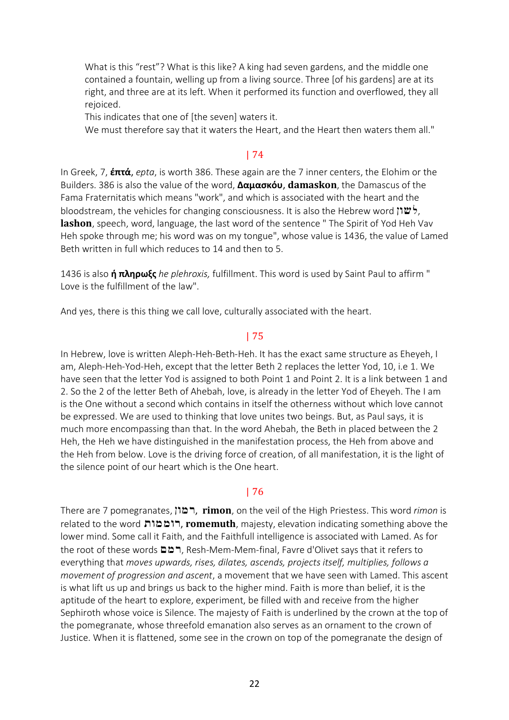What is this "rest"? What is this like? A king had seven gardens, and the middle one contained a fountain, welling up from a living source. Three [of his gardens] are at its right, and three are at its left. When it performed its function and overflowed, they all rejoiced.

This indicates that one of [the seven] waters it.

We must therefore say that it waters the Heart, and the Heart then waters them all."

# | 74

In Greek, 7, **έπτά**, *epta*, is worth 386. These again are the 7 inner centers, the Elohim or the Builders. 386 is also the value of the word, **Δαμασκόυ**, **damaskon**, the Damascus of the Fama Fraternitatis which means "work", and which is associated with the heart and the bloodstream, the vehicles for changing consciousness. It is also the Hebrew word  $\mathcal{V}$ , **lashon**, speech, word, language, the last word of the sentence " The Spirit of Yod Heh Vav Heh spoke through me; his word was on my tongue", whose value is 1436, the value of Lamed Beth written in full which reduces to 14 and then to 5.

1436 is also **ή πληρωξς** *he plehroxis,* fulfillment. This word is used by Saint Paul to affirm " Love is the fulfillment of the law".

And yes, there is this thing we call love, culturally associated with the heart.

# | 75

In Hebrew, love is written Aleph-Heh-Beth-Heh. It has the exact same structure as Eheyeh, I am, Aleph-Heh-Yod-Heh, except that the letter Beth 2 replaces the letter Yod, 10, i.e 1. We have seen that the letter Yod is assigned to both Point 1 and Point 2. It is a link between 1 and 2. So the 2 of the letter Beth of Ahebah, love, is already in the letter Yod of Eheyeh. The I am is the One without a second which contains in itself the otherness without which love cannot be expressed. We are used to thinking that love unites two beings. But, as Paul says, it is much more encompassing than that. In the word Ahebah, the Beth in placed between the 2 Heh, the Heh we have distinguished in the manifestation process, the Heh from above and the Heh from below. Love is the driving force of creation, of all manifestation, it is the light of the silence point of our heart which is the One heart.

## | 76

There are 7 pomegranates, Nvmr, **rimon**, on the veil of the High Priestess. This word *rimon* is related to the word **רוממות, romemuth**, majesty, elevation indicating something above the lower mind. Some call it Faith, and the Faithfull intelligence is associated with Lamed. As for the root of these words  $\square \square$ , Resh-Mem-Mem-final, Favre d'Olivet says that it refers to everything that *moves upwards, rises, dilates, ascends, projects itself, multiplies, follows a movement of progression and ascent*, a movement that we have seen with Lamed. This ascent is what lift us up and brings us back to the higher mind. Faith is more than belief, it is the aptitude of the heart to explore, experiment, be filled with and receive from the higher Sephiroth whose voice is Silence. The majesty of Faith is underlined by the crown at the top of the pomegranate, whose threefold emanation also serves as an ornament to the crown of Justice. When it is flattened, some see in the crown on top of the pomegranate the design of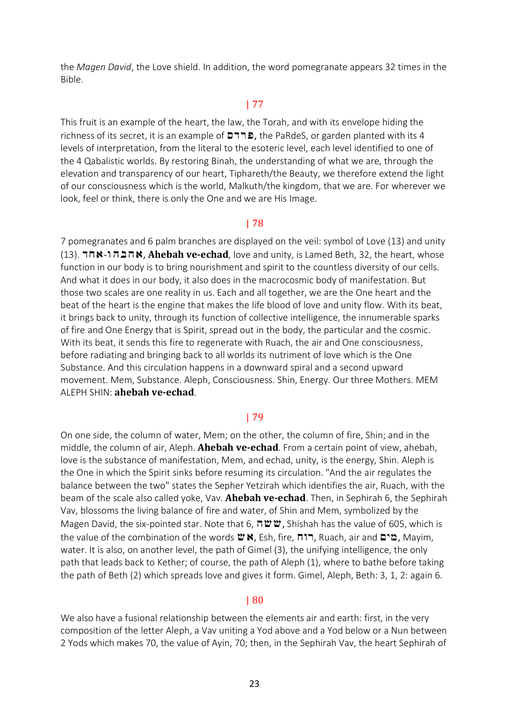the *Magen David*, the Love shield. In addition, the word pomegranate appears 32 times in the Bible.

# | 77

This fruit is an example of the heart, the law, the Torah, and with its envelope hiding the richness of its secret, it is an example of  $\Box \Box$ , the PaRdeS, or garden planted with its 4 levels of interpretation, from the literal to the esoteric level, each level identified to one of the 4 Qabalistic worlds. By restoring Binah, the understanding of what we are, through the elevation and transparency of our heart, Tiphareth/the Beauty, we therefore extend the light of our consciousness which is the world, Malkuth/the kingdom, that we are. For wherever we look, feel or think, there is only the One and we are His Image.

### | 78

7 pomegranates and 6 palm branches are displayed on the veil: symbol of Love (13) and unity (13). הבהו-**×, Ahebah ve-echad**, love and unity, is Lamed Beth, 32, the heart, whose function in our body is to bring nourishment and spirit to the countless diversity of our cells. And what it does in our body, it also does in the macrocosmic body of manifestation. But those two scales are one reality in us. Each and all together, we are the One heart and the beat of the heart is the engine that makes the life blood of love and unity flow. With its beat, it brings back to unity, through its function of collective intelligence, the innumerable sparks of fire and One Energy that is Spirit, spread out in the body, the particular and the cosmic. With its beat, it sends this fire to regenerate with Ruach, the air and One consciousness, before radiating and bringing back to all worlds its nutriment of love which is the One Substance. And this circulation happens in a downward spiral and a second upward movement. Mem, Substance. Aleph, Consciousness. Shin, Energy. Our three Mothers. MEM ALEPH SHIN: **ahebah ve-echad**.

### | 79

On one side, the column of water, Mem; on the other, the column of fire, Shin; and in the middle, the column of air, Aleph. **Ahebah ve-echad**. From a certain point of view, ahebah, love is the substance of manifestation, Mem, and echad, unity, is the energy, Shin. Aleph is the One in which the Spirit sinks before resuming its circulation. "And the air regulates the balance between the two" states the Sepher Yetzirah which identifies the air, Ruach, with the beam of the scale also called yoke, Vav. **Ahebah ve-echad**. Then, in Sephirah 6, the Sephirah Vav, blossoms the living balance of fire and water, of Shin and Mem, symbolized by the Magen David, the six-pointed star. Note that 6,  $\pi \ddot{w} \ddot{w}$ , Shishah has the value of 605, which is the value of the combination of the words  $\mathbf w$ , Esh, fire, לוח, Ruach, air and מים, Mayim, water. It is also, on another level, the path of Gimel (3), the unifying intelligence, the only path that leads back to Kether; of course, the path of Aleph (1), where to bathe before taking the path of Beth (2) which spreads love and gives it form. Gimel, Aleph, Beth: 3, 1, 2: again 6.

#### | 80

We also have a fusional relationship between the elements air and earth: first, in the very composition of the letter Aleph, a Vav uniting a Yod above and a Yod below or a Nun between 2 Yods which makes 70, the value of Ayin, 70; then, in the Sephirah Vav, the heart Sephirah of